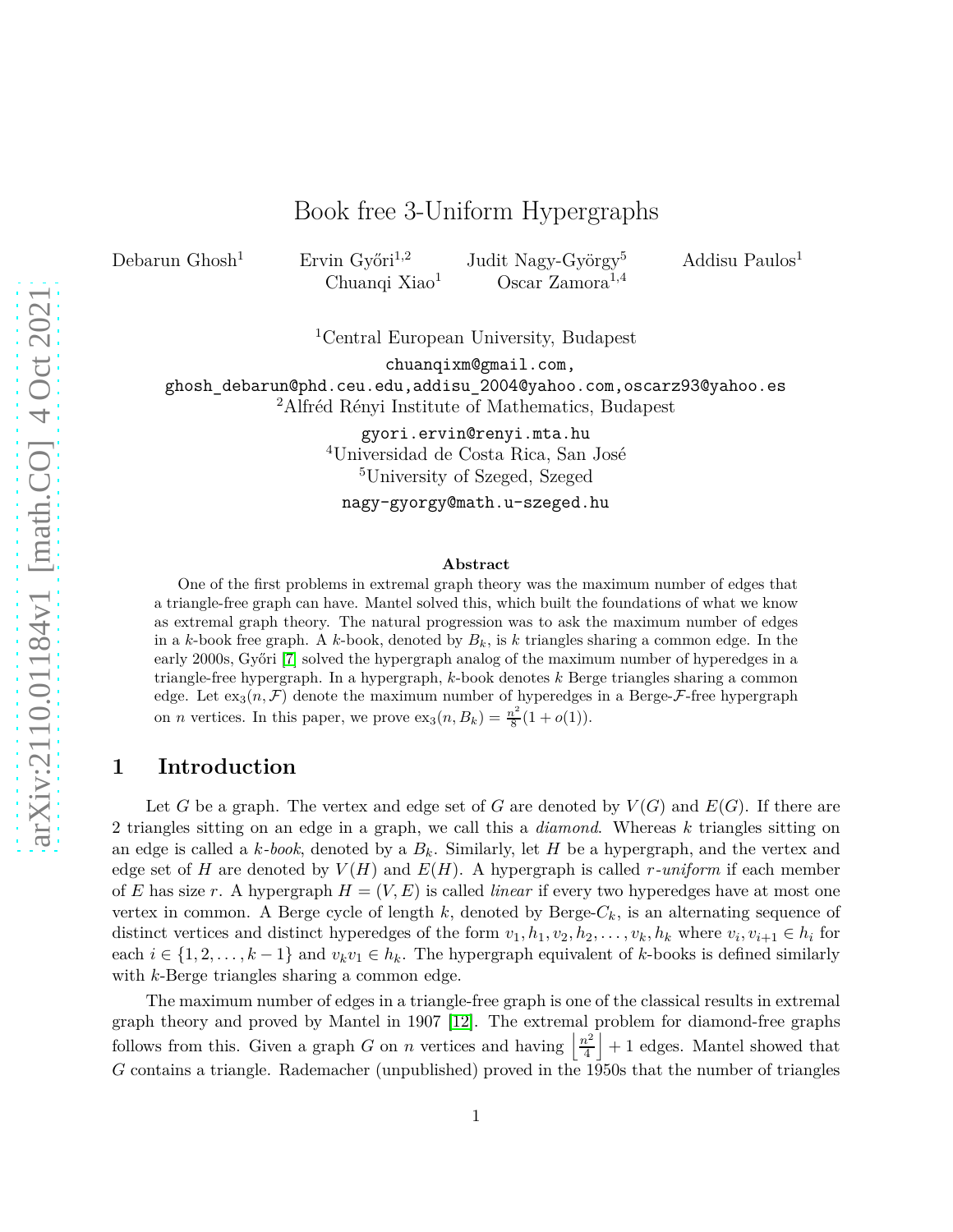# Book free 3-Uniform Hypergraphs

Debarun Ghosh<sup>1</sup> Ervin Győri<sup>1,2</sup> Judit Nagy-György<sup>5</sup> Addisu Paulos<sup>1</sup> Chuanqi Xiao<sup>1</sup> Oscar Zamora<sup>1,4</sup>

<sup>1</sup>Central European University, Budapest

chuanqixm@gmail.com,

ghosh\_debarun@phd.ceu.edu,addisu\_2004@yahoo.com,oscarz93@yahoo.es <sup>2</sup>Alfréd Rényi Institute of Mathematics, Budapest

> gyori.ervin@renyi.mta.hu <sup>4</sup>Universidad de Costa Rica, San José <sup>5</sup>University of Szeged, Szeged

nagy-gyorgy@math.u-szeged.hu

#### **Abstract**

One of the first problems in extremal graph theory was the maximum number of edges that a triangle-free graph can have. Mantel solved this, which built the foundations of what we know as extremal graph theory. The natural progression was to ask the maximum number of edges in a *k*-book free graph. A *k*-book, denoted by  $B_k$ , is *k* triangles sharing a common edge. In the early 2000s, Győri [\[7\]](#page-4-0) solved the hypergraph analog of the maximum number of hyperedges in a triangle-free hypergraph. In a hypergraph, *k*-book denotes *k* Berge triangles sharing a common edge. Let  $\exp(n, \mathcal{F})$  denote the maximum number of hyperedges in a Berge- $\mathcal{F}$ -free hypergraph on *n* vertices. In this paper, we prove  $\operatorname{ex}_{3}(n, B_k) = \frac{n^2}{8}$  $\frac{v^2}{8}(1+o(1)).$ 

## **1 Introduction**

Let *G* be a graph. The vertex and edge set of *G* are denoted by  $V(G)$  and  $E(G)$ . If there are 2 triangles sitting on an edge in a graph, we call this a *diamond*. Whereas *k* triangles sitting on an edge is called a  $k$ *-book*, denoted by a  $B_k$ . Similarly, let *H* be a hypergraph, and the vertex and edge set of *H* are denoted by  $V(H)$  and  $E(H)$ . A hypergraph is called *r-uniform* if each member of *E* has size *r*. A hypergraph  $H = (V, E)$  is called *linear* if every two hyperedges have at most one vertex in common. A Berge cycle of length  $k$ , denoted by Berge- $C_k$ , is an alternating sequence of distinct vertices and distinct hyperedges of the form  $v_1, h_1, v_2, h_2, \ldots, v_k, h_k$  where  $v_i, v_{i+1} \in h_i$  for each  $i \in \{1, 2, \ldots, k-1\}$  and  $v_k v_1 \in h_k$ . The hypergraph equivalent of *k*-books is defined similarly with *k*-Berge triangles sharing a common edge.

The maximum number of edges in a triangle-free graph is one of the classical results in extremal graph theory and proved by Mantel in 1907 [\[12\]](#page-4-1). The extremal problem for diamond-free graphs follows from this. Given a graph *G* on *n* vertices and having  $\frac{n^2}{4}$  $\frac{h^2}{4}$  + 1 edges. Mantel showed that *G* contains a triangle. Rademacher (unpublished) proved in the 1950s that the number of triangles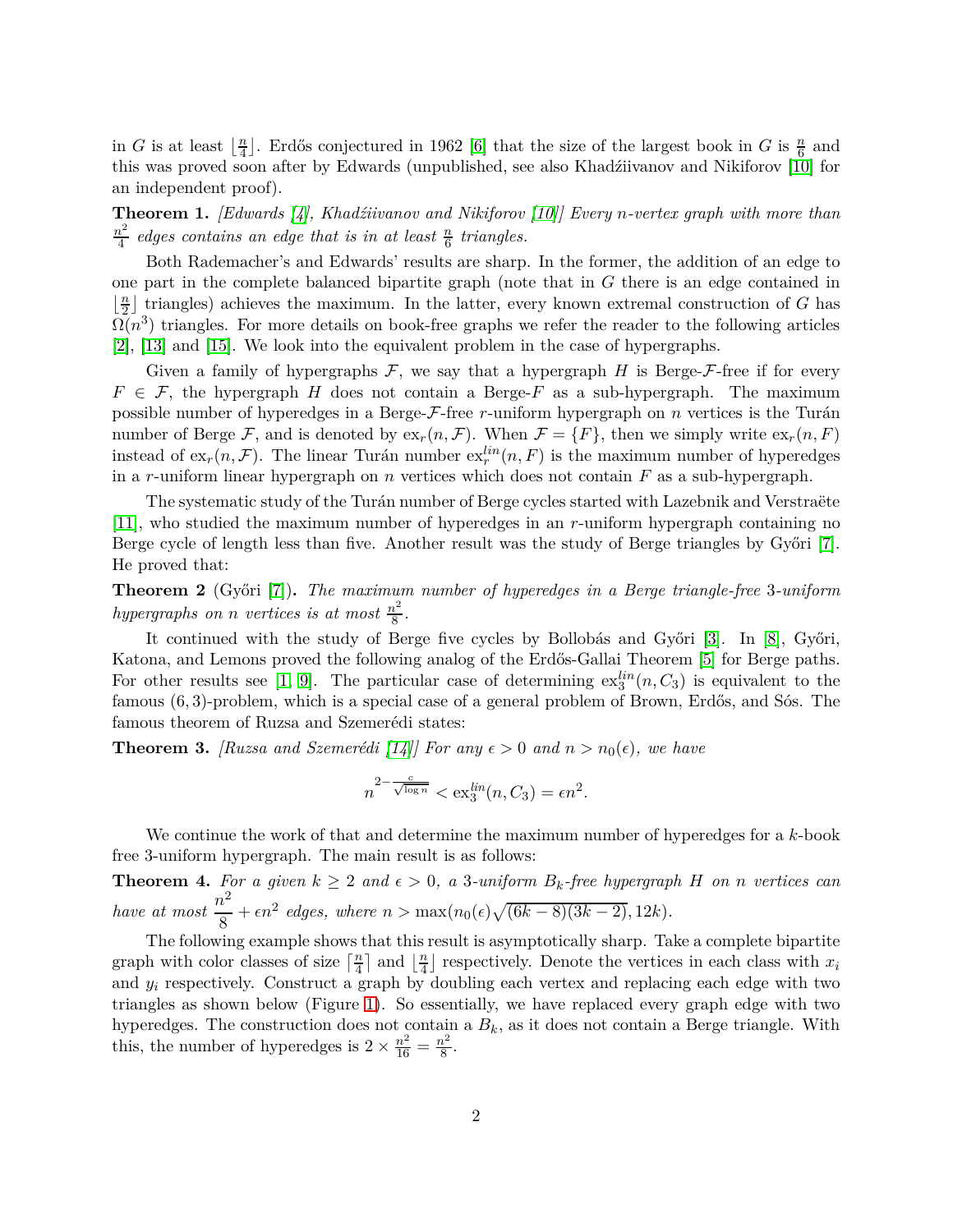in *G* is at least  $\left| \frac{n}{4} \right|$  $\frac{n}{4}$ . Erdős conjectured in 1962 [\[6\]](#page-4-2) that the size of the largest book in *G* is  $\frac{n}{6}$  and this was proved soon after by Edwards (unpublished, see also Khadźiivanov and Nikiforov [\[10\]](#page-4-3) for an independent proof).

<span id="page-1-1"></span>**Theorem 1.** *[Edwards [\[4\]](#page-4-4), Khadźiivanov and Nikiforov [\[10\]](#page-4-3)] Every n-vertex graph with more than n* 2  $\frac{a^2}{4}$  edges contains an edge that is in at least  $\frac{n}{6}$  triangles.

Both Rademacher's and Edwards' results are sharp. In the former, the addition of an edge to one part in the complete balanced bipartite graph (note that in *G* there is an edge contained in  $\frac{n}{2}$  $\frac{n}{2}$  triangles) achieves the maximum. In the latter, every known extremal construction of *G* has  $\Omega(n^3)$  triangles. For more details on book-free graphs we refer the reader to the following articles [\[2\]](#page-4-5), [\[13\]](#page-4-6) and [\[15\]](#page-5-0). We look into the equivalent problem in the case of hypergraphs.

Given a family of hypergraphs  $\mathcal F$ , we say that a hypergraph *H* is Berge- $\mathcal F$ -free if for every  $F \in \mathcal{F}$ , the hypergraph *H* does not contain a Berge-*F* as a sub-hypergraph. The maximum possible number of hyperedges in a Berge-F-free *r*-uniform hypergraph on *n* vertices is the Turán number of Berge F, and is denoted by  $ex_r(n, \mathcal{F})$ . When  $\mathcal{F} = \{F\}$ , then we simply write  $ex_r(n, F)$ instead of  $ex_r(n, \mathcal{F})$ . The linear Turán number  $ex_r^{lin}(n, F)$  is the maximum number of hyperedges in a *r*-uniform linear hypergraph on *n* vertices which does not contain *F* as a sub-hypergraph.

The systematic study of the Turán number of Berge cycles started with Lazebnik and Verstraëte [\[11\]](#page-4-7), who studied the maximum number of hyperedges in an *r*-uniform hypergraph containing no Berge cycle of length less than five. Another result was the study of Berge triangles by Győri [\[7\]](#page-4-0). He proved that:

**Theorem 2** (Győri [\[7\]](#page-4-0))**.** *The maximum number of hyperedges in a Berge triangle-free* 3*-uniform hypergraphs on n vertices is at most*  $\frac{n^2}{8}$  $rac{i^2}{8}$ .

It continued with the study of Berge five cycles by Bollobás and Győri [\[3\]](#page-4-8). In [\[8\]](#page-4-9), Győri, Katona, and Lemons proved the following analog of the Erdős-Gallai Theorem [\[5\]](#page-4-10) for Berge paths. For other results see [\[1,](#page-4-11) [9\]](#page-4-12). The particular case of determining  $ex^{lin}_{3}(n, C_3)$  is equivalent to the famous (6*,* 3)-problem, which is a special case of a general problem of Brown, Erdős, and Sós. The famous theorem of Ruzsa and Szemerédi states:

<span id="page-1-2"></span>**Theorem 3.** *[Ruzsa and Szemerédi* [\[14\]](#page-5-1)*]* For any  $\epsilon > 0$  and  $n > n_0(\epsilon)$ , we have

$$
n^{2-\frac{c}{\sqrt{\log n}}} < \operatorname{ex}_{3}^{\operatorname{lin}}(n, C_{3}) = \epsilon n^{2}.
$$

We continue the work of that and determine the maximum number of hyperedges for a *k*-book free 3-uniform hypergraph. The main result is as follows:

<span id="page-1-0"></span>**Theorem 4.** For a given  $k \geq 2$  and  $\epsilon > 0$ , a 3*-uniform*  $B_k$ -free hypergraph *H* on *n* vertices can *have at most*  $\frac{n^2}{2}$  $\frac{b}{8} + \epsilon n^2$  edges, where  $n > \max(n_0(\epsilon)\sqrt{(6k-8)(3k-2)}, 12k)$ .

The following example shows that this result is asymptotically sharp. Take a complete bipartite graph with color classes of size  $\lceil \frac{n}{4} \rceil$  $\frac{n}{4}$  and  $\frac{n}{4}$  $\frac{n}{4}$  respectively. Denote the vertices in each class with  $x_i$ and  $y_i$  respectively. Construct a graph by doubling each vertex and replacing each edge with two triangles as shown below (Figure [1\)](#page-2-0). So essentially, we have replaced every graph edge with two hyperedges. The construction does not contain a  $B_k$ , as it does not contain a Berge triangle. With this, the number of hyperedges is  $2 \times \frac{n^2}{16} = \frac{n^2}{8}$  $rac{v^2}{8}$ .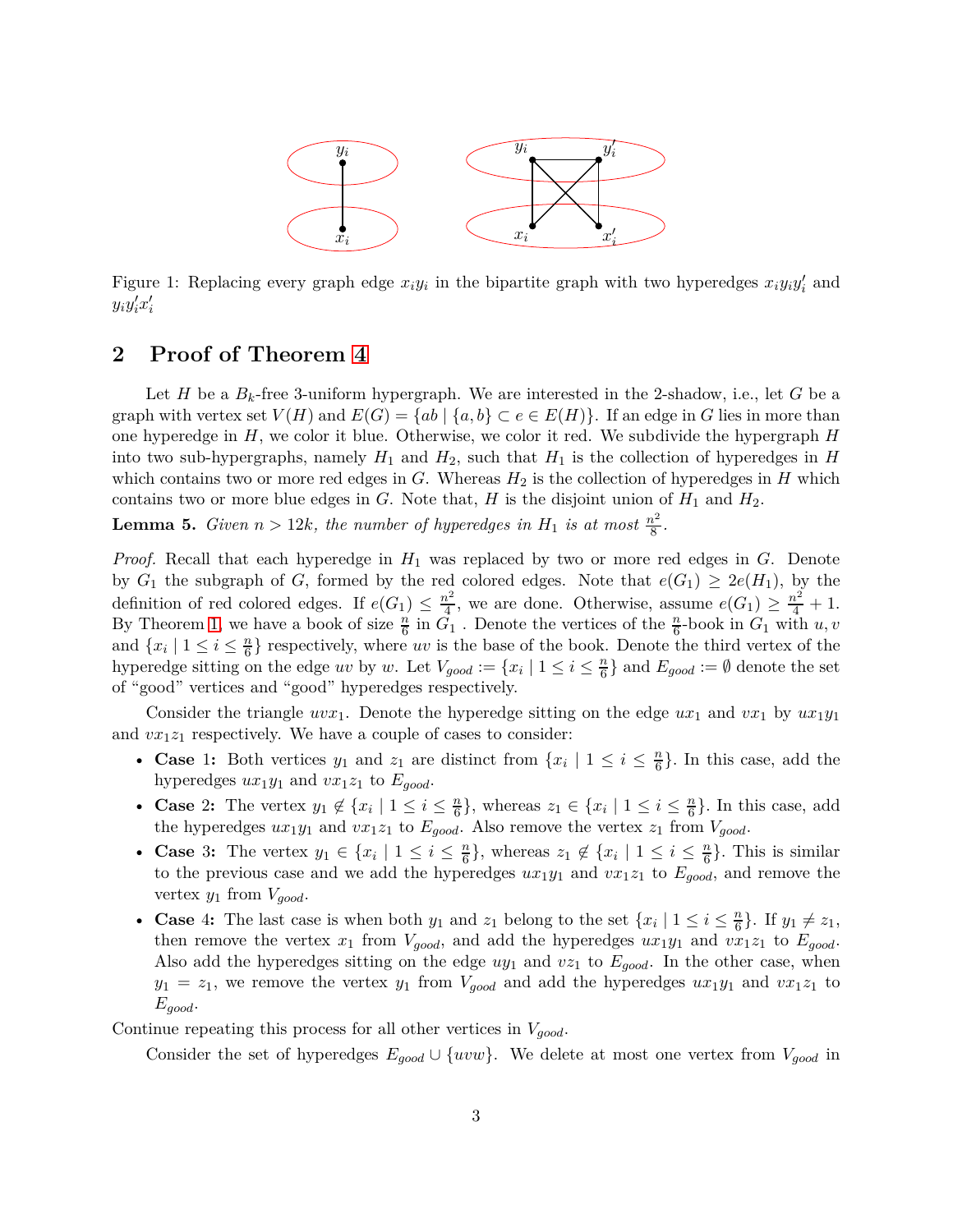

<span id="page-2-0"></span>Figure 1: Replacing every graph edge  $x_i y_i$  in the bipartite graph with two hyperedges  $x_i y_i y_i'$  and  $y_i y_i' x_i'$ 

### **2 Proof of Theorem [4](#page-1-0)**

Let *H* be a  $B_k$ -free 3-uniform hypergraph. We are interested in the 2-shadow, i.e., let *G* be a graph with vertex set  $V(H)$  and  $E(G) = \{ab \mid \{a, b\} \subset e \in E(H)\}$ . If an edge in *G* lies in more than one hyperedge in *H*, we color it blue. Otherwise, we color it red. We subdivide the hypergraph *H* into two sub-hypergraphs, namely  $H_1$  and  $H_2$ , such that  $H_1$  is the collection of hyperedges in  $H$ which contains two or more red edges in  $G$ . Whereas  $H_2$  is the collection of hyperedges in  $H$  which contains two or more blue edges in  $G$ . Note that,  $H$  is the disjoint union of  $H_1$  and  $H_2$ .

<span id="page-2-1"></span>**Lemma 5.** *Given*  $n > 12k$ *, the number of hyperedges in*  $H_1$  *is at most*  $\frac{n^2}{8}$  $rac{i^2}{8}$ .

*Proof.* Recall that each hyperedge in *H*<sup>1</sup> was replaced by two or more red edges in *G*. Denote by  $G_1$  the subgraph of *G*, formed by the red colored edges. Note that  $e(G_1) \geq 2e(H_1)$ , by the definition of red colored edges. If  $e(G_1) \leq \frac{n^2}{4}$  $\frac{n^2}{4}$ , we are done. Otherwise, assume  $e(G_1) \geq \frac{n^2}{4} + 1$ . By Theorem [1,](#page-1-1) we have a book of size  $\frac{n}{6}$  in  $G_1$ . Denote the vertices of the  $\frac{n}{6}$ -book in  $G_1$  with  $u, v$ and  $\{x_i \mid 1 \leq i \leq \frac{n}{6}\}$  $\frac{n}{6}$  respectively, where *uv* is the base of the book. Denote the third vertex of the hyperedge sitting on the edge *uv* by *w*. Let  $V_{good} := \{x_i \mid 1 \leq i \leq \frac{n}{6}\}$  $\left\{ \frac{n}{6} \right\}$  and  $E_{good} := \emptyset$  denote the set of "good" vertices and "good" hyperedges respectively.

Consider the triangle  $uvx_1$ . Denote the hyperedge sitting on the edge  $ux_1$  and  $vx_1$  by  $ux_1y_1$ and  $vx_1z_1$  respectively. We have a couple of cases to consider:

- **Case** 1: Both vertices  $y_1$  and  $z_1$  are distinct from  $\{x_i \mid 1 \leq i \leq \frac{n}{6}\}$  $\frac{n}{6}$ . In this case, add the hyperedges  $ux_1y_1$  and  $vx_1z_1$  to  $E_{good}$ .
- **Case** 2: The vertex  $y_1 \notin \{x_i \mid 1 \leq i \leq \frac{n}{6}\}\$  $\left\{\frac{n}{6}\right\}$ , whereas  $z_1 \in \{x_i \mid 1 \leq i \leq \frac{n}{6}\}$  $\frac{n}{6}$ . In this case, add the hyperedges  $ux_1y_1$  and  $vx_1z_1$  to  $E_{good}$ . Also remove the vertex  $z_1$  from  $V_{good}$ .
- **Case** 3: The vertex  $y_1 \in \{x_i \mid 1 \leq i \leq \frac{n}{6}\}$ , whereas  $z_1 \notin \{x_i \mid 1 \leq i \leq \frac{n}{6}\}$ . This is similar to the previous case and we add the hyperedges  $ux_1y_1$  and  $vx_1z_1$  to  $E_{good}$ , and remove the vertex  $y_1$  from  $V_{good}$ .
- **Case** 4: The last case is when both  $y_1$  and  $z_1$  belong to the set  $\{x_i \mid 1 \leq i \leq \frac{n}{6}\}$  $\frac{n}{6}$ . If  $y_1 \neq z_1$ , then remove the vertex  $x_1$  from  $V_{good}$ , and add the hyperedges  $ux_1y_1$  and  $vx_1z_1$  to  $E_{good}$ . Also add the hyperedges sitting on the edge *uy*<sup>1</sup> and *vz*<sup>1</sup> to *Egood*. In the other case, when  $y_1 = z_1$ , we remove the vertex  $y_1$  from  $V_{good}$  and add the hyperedges  $ux_1y_1$  and  $vx_1z_1$  to *Egood*.

Continue repeating this process for all other vertices in *Vgood*.

Consider the set of hyperedges  $E_{good} \cup \{uvw\}$ . We delete at most one vertex from  $V_{good}$  in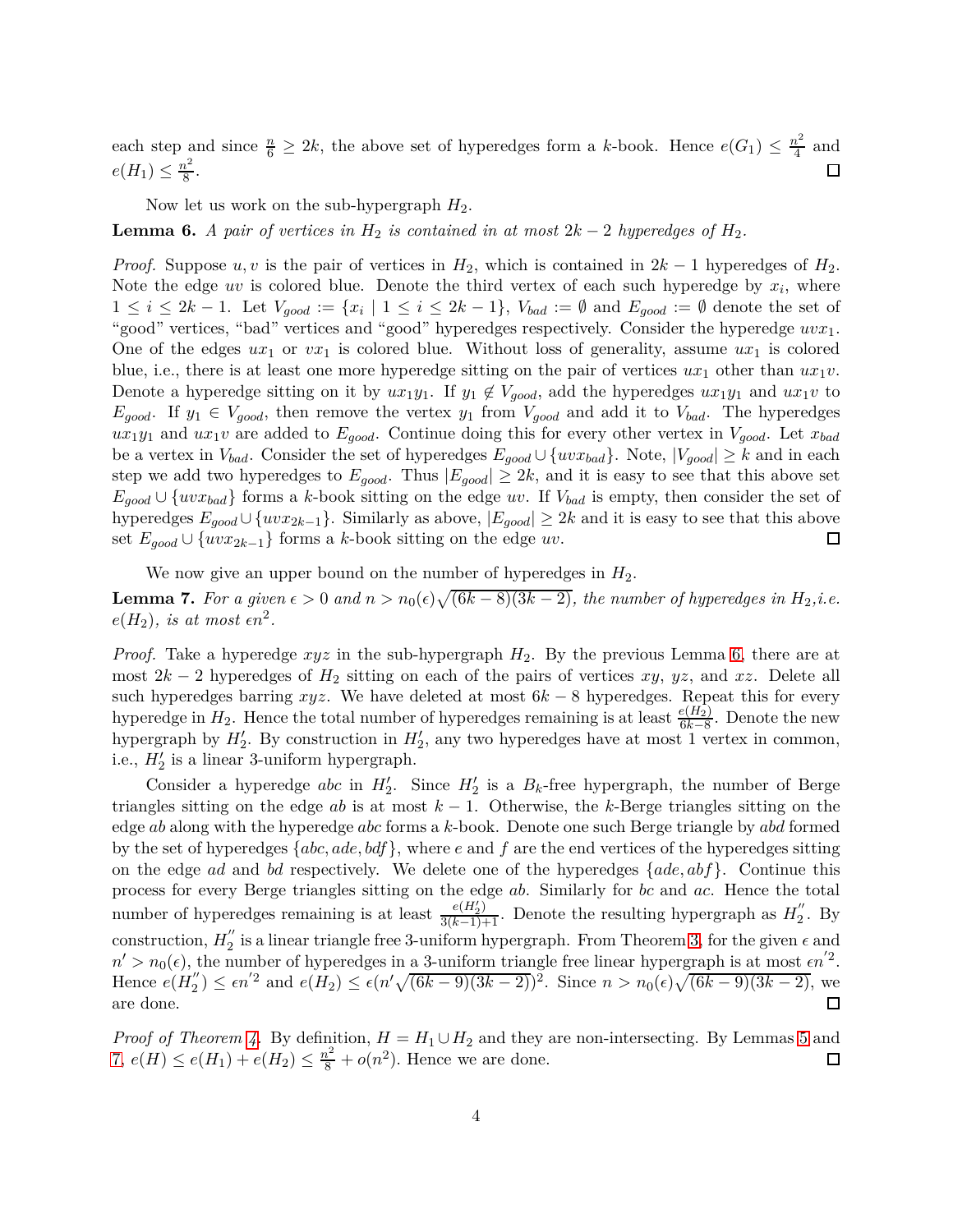each step and since  $\frac{n}{6} \geq 2k$ , the above set of hyperedges form a *k*-book. Hence  $e(G_1) \leq \frac{n^2}{4}$  $rac{v^2}{4}$  and  $e(H_1) \leq \frac{n^2}{8}$  $rac{v^2}{8}$ . П

Now let us work on the sub-hypergraph *H*2.

<span id="page-3-0"></span>**Lemma 6.** *A pair of vertices in*  $H_2$  *is contained in at most*  $2k - 2$  *hyperedges of*  $H_2$ *.* 

*Proof.* Suppose  $u, v$  is the pair of vertices in  $H_2$ , which is contained in  $2k - 1$  hyperedges of  $H_2$ . Note the edge  $uv$  is colored blue. Denote the third vertex of each such hyperedge by  $x_i$ , where  $1 \leq i \leq 2k-1$ . Let  $V_{good} := \{x_i \mid 1 \leq i \leq 2k-1\}$ ,  $V_{bad} := \emptyset$  and  $E_{good} := \emptyset$  denote the set of "good" vertices, "bad" vertices and "good" hyperedges respectively. Consider the hyperedge *uvx*1. One of the edges  $ux_1$  or  $vx_1$  is colored blue. Without loss of generality, assume  $ux_1$  is colored blue, i.e., there is at least one more hyperedge sitting on the pair of vertices  $ux_1$  other than  $ux_1v$ . Denote a hyperedge sitting on it by  $ux_1y_1$ . If  $y_1 \notin V_{good}$ , add the hyperedges  $ux_1y_1$  and  $ux_1v$  to  $E_{good}$ . If  $y_1 \in V_{good}$ , then remove the vertex  $y_1$  from  $V_{good}$  and add it to  $V_{bad}$ . The hyperedges  $ux_1y_1$  and  $ux_1v$  are added to  $E_{good}$ . Continue doing this for every other vertex in  $V_{good}$ . Let  $x_{bad}$ be a vertex in  $V_{bad}$ . Consider the set of hyperedges  $E_{good} \cup \{uvx_{bad}\}$ . Note,  $|V_{good}| \geq k$  and in each step we add two hyperedges to  $E_{good}$ . Thus  $|E_{good}| \geq 2k$ , and it is easy to see that this above set  $E_{good} \cup \{uvx_{bad}\}$  forms a *k*-book sitting on the edge *uv*. If  $V_{bad}$  is empty, then consider the set of hyperedges  $E_{good} \cup \{uvx_{2k-1}\}$ . Similarly as above,  $|E_{good}| \geq 2k$  and it is easy to see that this above set  $E_{good} \cup \{uvx_{2k-1}\}$  forms a k-book sitting on the edge  $uv$ . set  $E_{good} ∪ \{uvx_{2k-1}\}\)$  forms a *k*-book sitting on the edge *uv*.

We now give an upper bound on the number of hyperedges in  $H_2$ .

<span id="page-3-1"></span>**Lemma 7.** For a given  $\epsilon > 0$  and  $n > n_0(\epsilon) \sqrt{(6k-8)(3k-2)}$ , the number of hyperedges in  $H_2$ ,i.e.  $e(H_2)$ *, is at most*  $\epsilon n^2$ *.* 

*Proof.* Take a hyperedge *xyz* in the sub-hypergraph *H*2. By the previous Lemma [6,](#page-3-0) there are at most 2*k* − 2 hyperedges of *H*<sup>2</sup> sitting on each of the pairs of vertices *xy*, *yz*, and *xz*. Delete all such hyperedges barring *xyz*. We have deleted at most 6*k* − 8 hyperedges. Repeat this for every hyperedge in  $H_2$ . Hence the total number of hyperedges remaining is at least  $\frac{e(H_2)}{6k-8}$ . Denote the new hypergraph by  $H'_{2}$ . By construction in  $H'_{2}$ , any two hyperedges have at most 1 vertex in common, i.e.,  $H'_2$  is a linear 3-uniform hypergraph.

Consider a hyperedge *abc* in  $H'_2$ . Since  $H'_2$  is a  $B_k$ -free hypergraph, the number of Berge triangles sitting on the edge *ab* is at most  $k - 1$ . Otherwise, the *k*-Berge triangles sitting on the edge *ab* along with the hyperedge *abc* forms a *k*-book. Denote one such Berge triangle by *abd* formed by the set of hyperedges {*abc, ade, bdf*}, where *e* and *f* are the end vertices of the hyperedges sitting on the edge *ad* and *bd* respectively. We delete one of the hyperedges {*ade, abf*}. Continue this process for every Berge triangles sitting on the edge *ab*. Similarly for *bc* and *ac*. Hence the total number of hyperedges remaining is at least  $\frac{e(H'_2)}{3(k-1)+1}$ . Denote the resulting hypergraph as  $H''_2$  $\frac{1}{2}$ . By construction,  $H_2^{''}$  $\frac{\pi}{2}$  is a linear triangle free 3-uniform hypergraph. From Theorem [3,](#page-1-2) for the given  $\epsilon$  and  $n' > n_0(\epsilon)$ , the number of hyperedges in a 3-uniform triangle free linear hypergraph is at most  $\epsilon n'^2$ . Hence  $e(H''_2)$  $\mathcal{L}_{2}^{''}$ ) ≤  $\epsilon n^{'2}$  and  $e(H_{2}) \leq \epsilon (n'\sqrt{(6k-9)(3k-2)})^{2}$ . Since  $n > n_{0}(\epsilon)\sqrt{(6k-9)(3k-2)}$ , we are done. 口

*Proof of Theorem [4.](#page-1-0)* By definition,  $H = H_1 \cup H_2$  and they are non-intersecting. By Lemmas [5](#page-2-1) and [7,](#page-3-1)  $e(H) \le e(H_1) + e(H_2) \le \frac{n^2}{8} + o(n^2)$ . Hence we are done.  $\Box$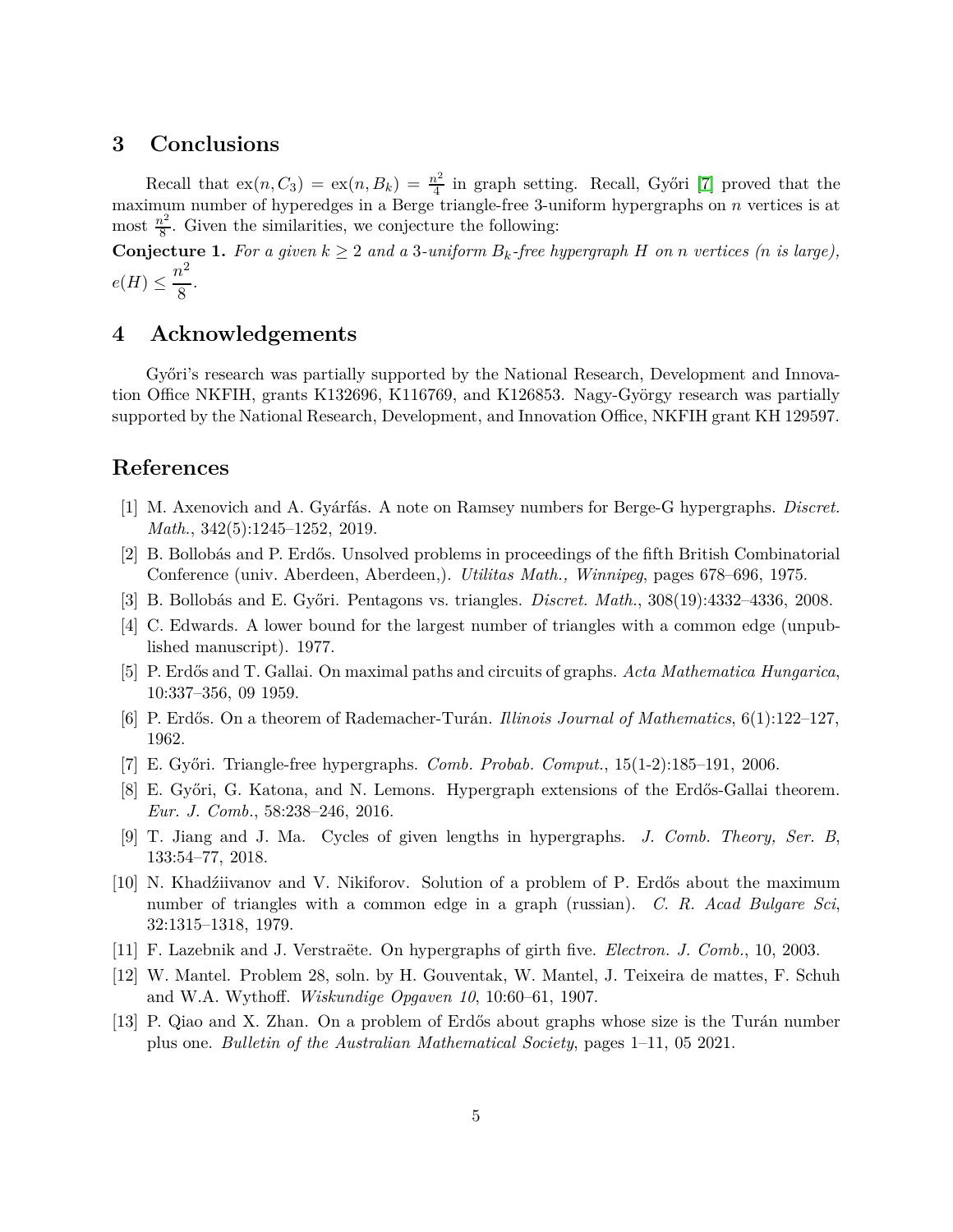### **3 Conclusions**

Recall that  $ex(n, C_3) = ex(n, B_k) = \frac{n^2}{4}$  $\frac{v^2}{4}$  in graph setting. Recall, Győri [\[7\]](#page-4-0) proved that the maximum number of hyperedges in a Berge triangle-free 3-uniform hypergraphs on *n* vertices is at most  $\frac{n^2}{8}$  $\frac{b^2}{8}$ . Given the similarities, we conjecture the following:

**Conjecture 1.** For a given  $k \geq 2$  and a 3-uniform  $B_k$ -free hypergraph *H* on *n* vertices (*n* is large),  $e(H) \leq \frac{n^2}{2}$  $\frac{1}{8}$ .

# **4 Acknowledgements**

Győri's research was partially supported by the National Research, Development and Innovation Office NKFIH, grants K132696, K116769, and K126853. Nagy-György research was partially supported by the National Research, Development, and Innovation Office, NKFIH grant KH 129597.

#### <span id="page-4-11"></span>**References**

- <span id="page-4-5"></span>[1] M. Axenovich and A. Gyárfás. A note on Ramsey numbers for Berge-G hypergraphs. *Discret. Math.*, 342(5):1245–1252, 2019.
- <span id="page-4-8"></span>[2] B. Bollobás and P. Erdős. Unsolved problems in proceedings of the fifth British Combinatorial Conference (univ. Aberdeen, Aberdeen,). *Utilitas Math., Winnipeg*, pages 678–696, 1975.
- <span id="page-4-4"></span>[3] B. Bollobás and E. Győri. Pentagons vs. triangles. *Discret. Math.*, 308(19):4332–4336, 2008.
- <span id="page-4-10"></span>[4] C. Edwards. A lower bound for the largest number of triangles with a common edge (unpublished manuscript). 1977.
- <span id="page-4-2"></span>[5] P. Erdős and T. Gallai. On maximal paths and circuits of graphs. *Acta Mathematica Hungarica*, 10:337–356, 09 1959.
- <span id="page-4-0"></span>[6] P. Erdős. On a theorem of Rademacher-Turán. *Illinois Journal of Mathematics*, 6(1):122–127, 1962.
- <span id="page-4-9"></span>[7] E. Győri. Triangle-free hypergraphs. *Comb. Probab. Comput.*, 15(1-2):185–191, 2006.
- <span id="page-4-12"></span>[8] E. Győri, G. Katona, and N. Lemons. Hypergraph extensions of the Erdős-Gallai theorem. *Eur. J. Comb.*, 58:238–246, 2016.
- <span id="page-4-3"></span>[9] T. Jiang and J. Ma. Cycles of given lengths in hypergraphs. *J. Comb. Theory, Ser. B*, 133:54–77, 2018.
- [10] N. Khadźiivanov and V. Nikiforov. Solution of a problem of P. Erdős about the maximum number of triangles with a common edge in a graph (russian). *C. R. Acad Bulgare Sci*, 32:1315–1318, 1979.
- <span id="page-4-7"></span><span id="page-4-1"></span>[11] F. Lazebnik and J. Verstraëte. On hypergraphs of girth five. *Electron. J. Comb.*, 10, 2003.
- <span id="page-4-6"></span>[12] W. Mantel. Problem 28, soln. by H. Gouventak, W. Mantel, J. Teixeira de mattes, F. Schuh and W.A. Wythoff. *Wiskundige Opgaven 10*, 10:60–61, 1907.
- [13] P. Qiao and X. Zhan. On a problem of Erdős about graphs whose size is the Turán number plus one. *Bulletin of the Australian Mathematical Society*, pages 1–11, 05 2021.